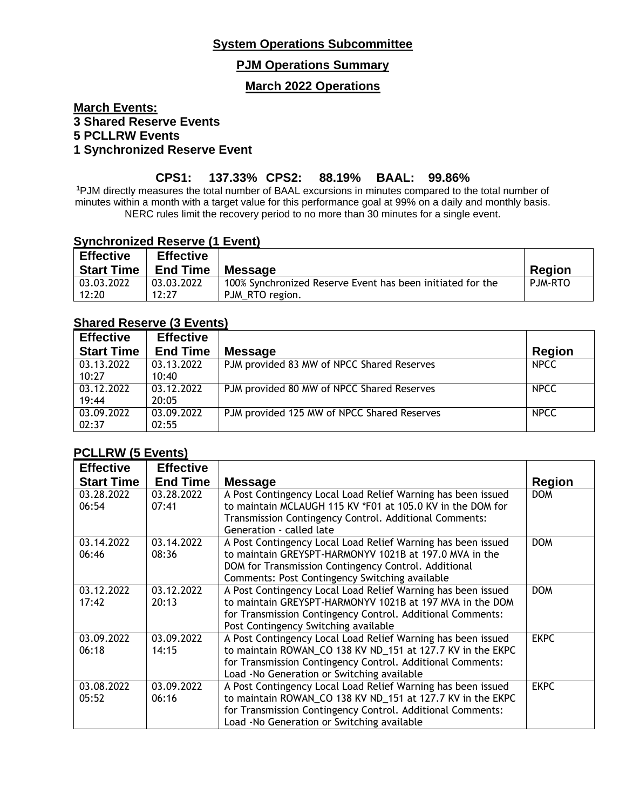# **System Operations Subcommittee**

### **PJM Operations Summary**

#### **March 2022 Operations**

### **March Events: 3 Shared Reserve Events 5 PCLLRW Events 1 Synchronized Reserve Event**

## **CPS1: 137.33% CPS2: 88.19% BAAL: 99.86%**

**<sup>1</sup>**PJM directly measures the total number of BAAL excursions in minutes compared to the total number of minutes within a month with a target value for this performance goal at 99% on a daily and monthly basis. NERC rules limit the recovery period to no more than 30 minutes for a single event.

#### **Synchronized Reserve (1 Event)**

| <b>Effective</b>  | <b>Effective</b> |                                                            |                |
|-------------------|------------------|------------------------------------------------------------|----------------|
| <b>Start Time</b> | <b>End Time</b>  | <b>Message</b>                                             | <b>Region</b>  |
| 03.03.2022        | 03.03.2022       | 100% Synchronized Reserve Event has been initiated for the | <b>PJM-RTO</b> |
| 12:20             | 12:27            | PJM RTO region.                                            |                |

#### **Shared Reserve (3 Events)**

| <b>Effective</b>  | <b>Effective</b> |                                             |               |
|-------------------|------------------|---------------------------------------------|---------------|
| <b>Start Time</b> | <b>End Time</b>  | <b>Message</b>                              | <b>Region</b> |
| 03.13.2022        | 03.13.2022       | PJM provided 83 MW of NPCC Shared Reserves  | <b>NPCC</b>   |
| 10:27             | 10:40            |                                             |               |
| 03.12.2022        | 03.12.2022       | PJM provided 80 MW of NPCC Shared Reserves  | <b>NPCC</b>   |
| 19:44             | 20:05            |                                             |               |
| 03.09.2022        | 03.09.2022       | PJM provided 125 MW of NPCC Shared Reserves | <b>NPCC</b>   |
| 02:37             | 02:55            |                                             |               |

### **PCLLRW (5 Events)**

| <b>Effective</b>  | <b>Effective</b> |                                                              |               |
|-------------------|------------------|--------------------------------------------------------------|---------------|
| <b>Start Time</b> | <b>End Time</b>  | <b>Message</b>                                               | <b>Region</b> |
| 03.28.2022        | 03.28.2022       | A Post Contingency Local Load Relief Warning has been issued | <b>DOM</b>    |
| 06:54             | 07:41            | to maintain MCLAUGH 115 KV *F01 at 105.0 KV in the DOM for   |               |
|                   |                  | Transmission Contingency Control. Additional Comments:       |               |
|                   |                  | Generation - called late                                     |               |
| 03.14.2022        | 03.14.2022       | A Post Contingency Local Load Relief Warning has been issued | <b>DOM</b>    |
| 06:46             | 08:36            | to maintain GREYSPT-HARMONYV 1021B at 197.0 MVA in the       |               |
|                   |                  | DOM for Transmission Contingency Control. Additional         |               |
|                   |                  | Comments: Post Contingency Switching available               |               |
| 03.12.2022        | 03.12.2022       | A Post Contingency Local Load Relief Warning has been issued | <b>DOM</b>    |
| 17:42             | 20:13            | to maintain GREYSPT-HARMONYV 1021B at 197 MVA in the DOM     |               |
|                   |                  | for Transmission Contingency Control. Additional Comments:   |               |
|                   |                  | Post Contingency Switching available                         |               |
| 03.09.2022        | 03.09.2022       | A Post Contingency Local Load Relief Warning has been issued | <b>EKPC</b>   |
| 06:18             | 14:15            | to maintain ROWAN_CO 138 KV ND_151 at 127.7 KV in the EKPC   |               |
|                   |                  | for Transmission Contingency Control. Additional Comments:   |               |
|                   |                  | Load - No Generation or Switching available                  |               |
| 03.08.2022        | 03.09.2022       | A Post Contingency Local Load Relief Warning has been issued | <b>EKPC</b>   |
| 05:52             | 06:16            | to maintain ROWAN_CO 138 KV ND_151 at 127.7 KV in the EKPC   |               |
|                   |                  | for Transmission Contingency Control. Additional Comments:   |               |
|                   |                  | Load - No Generation or Switching available                  |               |